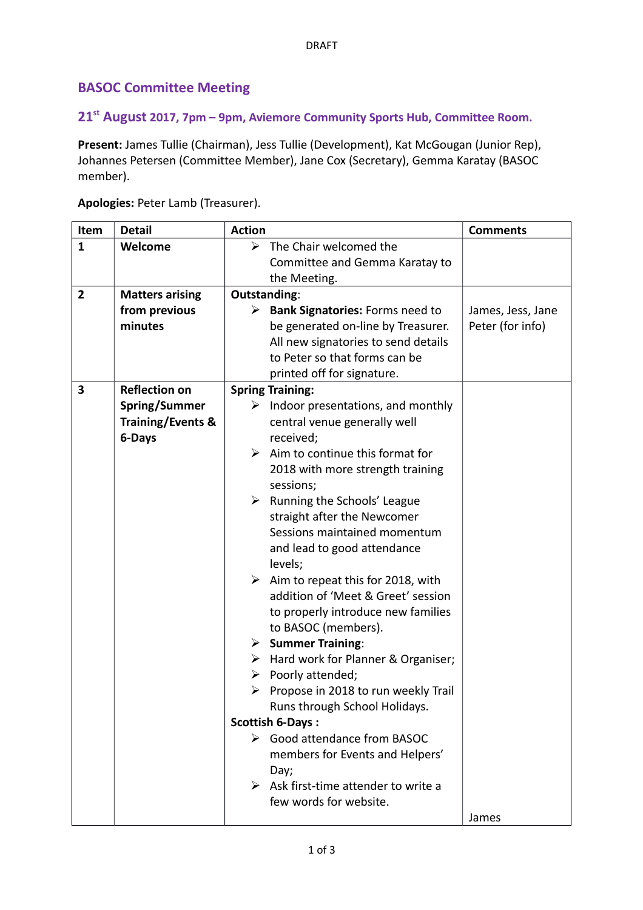## **BASOC Committee Meeting**

## **21st August 2017, 7pm – 9pm, Aviemore Community Sports Hub, Committee Room.**

**Present:** James Tullie (Chairman), Jess Tullie (Development), Kat McGougan (Junior Rep), Johannes Petersen (Committee Member), Jane Cox (Secretary), Gemma Karatay (BASOC member).

| Item           | <b>Detail</b>                | <b>Action</b>                                            | <b>Comments</b>   |
|----------------|------------------------------|----------------------------------------------------------|-------------------|
| $\mathbf{1}$   | Welcome                      | The Chair welcomed the<br>➤                              |                   |
|                |                              | Committee and Gemma Karatay to                           |                   |
|                |                              | the Meeting.                                             |                   |
| $\overline{2}$ | <b>Matters arising</b>       | Outstanding:                                             |                   |
|                | from previous                | <b>Bank Signatories: Forms need to</b><br>≻              | James, Jess, Jane |
|                | minutes                      | be generated on-line by Treasurer.                       | Peter (for info)  |
|                |                              | All new signatories to send details                      |                   |
|                |                              | to Peter so that forms can be                            |                   |
|                |                              | printed off for signature.                               |                   |
| 3              | <b>Reflection on</b>         | <b>Spring Training:</b>                                  |                   |
|                | Spring/Summer                | $\triangleright$ Indoor presentations, and monthly       |                   |
|                | <b>Training/Events &amp;</b> | central venue generally well                             |                   |
|                | 6-Days                       | received;                                                |                   |
|                |                              | $\triangleright$ Aim to continue this format for         |                   |
|                |                              | 2018 with more strength training                         |                   |
|                |                              | sessions;                                                |                   |
|                |                              | $\triangleright$ Running the Schools' League             |                   |
|                |                              | straight after the Newcomer                              |                   |
|                |                              | Sessions maintained momentum                             |                   |
|                |                              | and lead to good attendance                              |                   |
|                |                              | levels;                                                  |                   |
|                |                              | $\triangleright$ Aim to repeat this for 2018, with       |                   |
|                |                              | addition of 'Meet & Greet' session                       |                   |
|                |                              | to properly introduce new families                       |                   |
|                |                              | to BASOC (members).<br><b>Summer Training:</b>           |                   |
|                |                              | ≻<br>$\triangleright$ Hard work for Planner & Organiser; |                   |
|                |                              | Poorly attended;<br>➤                                    |                   |
|                |                              | $\triangleright$ Propose in 2018 to run weekly Trail     |                   |
|                |                              | Runs through School Holidays.                            |                   |
|                |                              | Scottish 6-Days:                                         |                   |
|                |                              | ▶ Good attendance from BASOC                             |                   |
|                |                              | members for Events and Helpers'                          |                   |
|                |                              | Day;                                                     |                   |
|                |                              | $\triangleright$ Ask first-time attender to write a      |                   |
|                |                              | few words for website.                                   |                   |
|                |                              |                                                          | James             |

**Apologies:** Peter Lamb (Treasurer).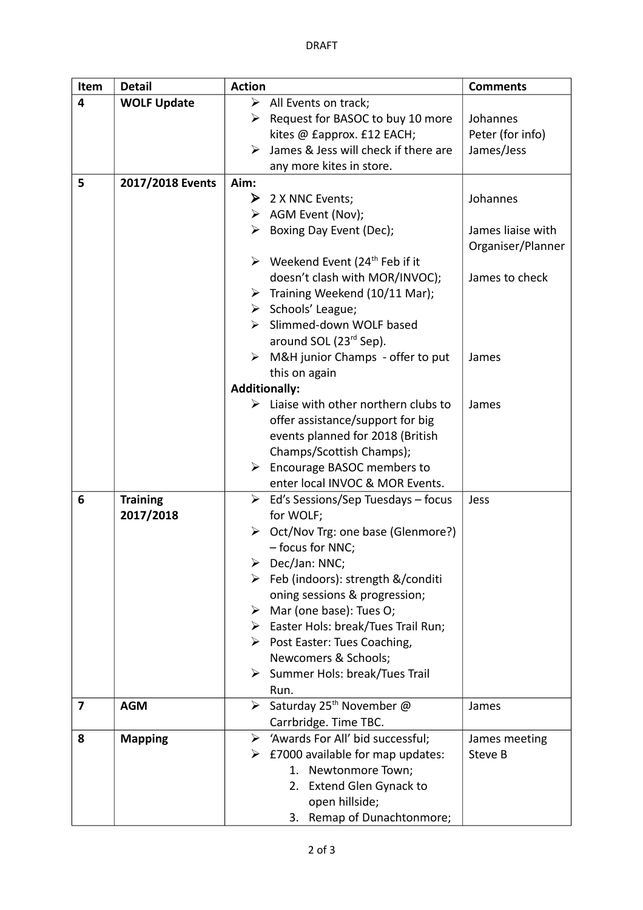| Item | <b>Detail</b>      | <b>Action</b>                                                 | <b>Comments</b>   |
|------|--------------------|---------------------------------------------------------------|-------------------|
| 4    | <b>WOLF Update</b> | $\triangleright$ All Events on track;                         |                   |
|      |                    | $\triangleright$ Request for BASOC to buy 10 more             | Johannes          |
|      |                    | kites @ £approx. £12 EACH;                                    | Peter (for info)  |
|      |                    | James & Jess will check if there are<br>➤                     | James/Jess        |
|      |                    | any more kites in store.                                      |                   |
| 5    | 2017/2018 Events   | Aim:                                                          |                   |
|      |                    | $\triangleright$ 2 X NNC Events;                              | Johannes          |
|      |                    | $\triangleright$ AGM Event (Nov);                             |                   |
|      |                    | $\triangleright$ Boxing Day Event (Dec);                      | James liaise with |
|      |                    |                                                               | Organiser/Planner |
|      |                    | $\triangleright$ Weekend Event (24 <sup>th</sup> Feb if it    |                   |
|      |                    | doesn't clash with MOR/INVOC);                                | James to check    |
|      |                    | > Training Weekend (10/11 Mar);                               |                   |
|      |                    | $\triangleright$ Schools' League;                             |                   |
|      |                    | Slimmed-down WOLF based<br>≻                                  |                   |
|      |                    | around SOL (23 <sup>rd</sup> Sep).                            |                   |
|      |                    | M&H junior Champs - offer to put<br>➤                         | James             |
|      |                    | this on again                                                 |                   |
|      |                    | <b>Additionally:</b>                                          |                   |
|      |                    | $\triangleright$ Liaise with other northern clubs to          | James             |
|      |                    | offer assistance/support for big                              |                   |
|      |                    | events planned for 2018 (British                              |                   |
|      |                    | Champs/Scottish Champs);                                      |                   |
|      |                    | $\triangleright$ Encourage BASOC members to                   |                   |
|      |                    | enter local INVOC & MOR Events.                               |                   |
| 6    | <b>Training</b>    | $\triangleright$ Ed's Sessions/Sep Tuesdays – focus           | Jess              |
|      | 2017/2018          | for WOLF;                                                     |                   |
|      |                    | > Oct/Nov Trg: one base (Glenmore?)                           |                   |
|      |                    | - focus for NNC;                                              |                   |
|      |                    | Dec/Jan: NNC;                                                 |                   |
|      |                    | > Feb (indoors): strength &/conditi                           |                   |
|      |                    | oning sessions & progression;                                 |                   |
|      |                    | $\triangleright$ Mar (one base): Tues O;                      |                   |
|      |                    | > Easter Hols: break/Tues Trail Run;                          |                   |
|      |                    | $\triangleright$ Post Easter: Tues Coaching,                  |                   |
|      |                    | Newcomers & Schools;                                          |                   |
|      |                    | $\triangleright$ Summer Hols: break/Tues Trail                |                   |
|      |                    | Run.                                                          |                   |
| 7    | <b>AGM</b>         | Saturday 25 <sup>th</sup> November @<br>$\blacktriangleright$ | James             |
|      |                    | Carrbridge. Time TBC.                                         |                   |
| 8    | <b>Mapping</b>     | 'Awards For All' bid successful;<br>➤                         | James meeting     |
|      |                    | $\triangleright$ £7000 available for map updates:             | Steve B           |
|      |                    | Newtonmore Town;<br>1.                                        |                   |
|      |                    | 2. Extend Glen Gynack to                                      |                   |
|      |                    | open hillside;                                                |                   |
|      |                    | Remap of Dunachtonmore;<br>3.                                 |                   |